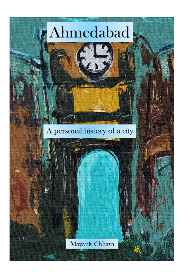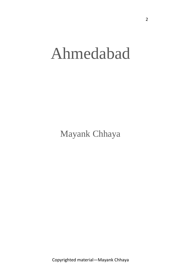## Ahmedabad

Mayank Chhaya

Copyrighted material—Mayank Chhaya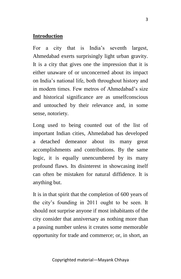## **Introduction**

For a city that is India's seventh largest, Ahmedabad exerts surprisingly light urban gravity. It is a city that gives one the impression that it is either unaware of or unconcerned about its impact on India's national life, both throughout history and in modern times. Few metros of Ahmedabad's size and historical significance are as unselfconscious and untouched by their relevance and, in some sense, notoriety.

Long used to being counted out of the list of important Indian cities, Ahmedabad has developed a detached demeanor about its many great accomplishments and contributions. By the same logic, it is equally unencumbered by its many profound flaws. Its disinterest in showcasing itself can often be mistaken for natural diffidence. It is anything but.

It is in that spirit that the completion of 600 years of the city's founding in 2011 ought to be seen. It should not surprise anyone if most inhabitants of the city consider that anniversary as nothing more than a passing number unless it creates some memorable opportunity for trade and commerce; or, in short, an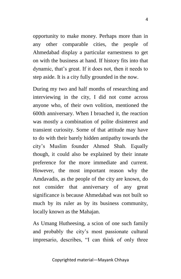opportunity to make money. Perhaps more than in any other comparable cities, the people of Ahmedabad display a particular earnestness to get on with the business at hand. If history fits into that dynamic, that's great. If it does not, then it needs to step aside. It is a city fully grounded in the now.

During my two and half months of researching and interviewing in the city, I did not come across anyone who, of their own volition, mentioned the 600th anniversary. When I broached it, the reaction was mostly a combination of polite disinterest and transient curiosity. Some of that attitude may have to do with their barely hidden antipathy towards the city's Muslim founder Ahmed Shah. Equally though, it could also be explained by their innate preference for the more immediate and current. However, the most important reason why the Amdavadis, as the people of the city are known, do not consider that anniversary of any great significance is because Ahmedabad was not built so much by its ruler as by its business community, locally known as the Mahajan.

As Umang Hutheesing, a scion of one such family and probably the city's most passionate cultural impresario, describes, "I can think of only three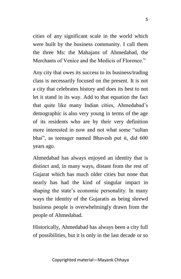cities of any significant scale in the world which were built by the business community. I call them the three Ms: the Mahajans of Ahmedabad, the Merchants of Venice and the Medicis of Florence."

Any city that owes its success to its business/trading class is necessarily focused on the present. It is not a city that celebrates history and does its best to not let it stand in its way. Add to that equation the fact that quite like many Indian cities, Ahmedabad's demographic is also very young in terms of the age of its residents who are by their very definition more interested in now and not what some "sultan bhai", as teenager named Bhavesh put it, did 600 years ago.

Ahmedabad has always enjoyed an identity that is distinct and, in many ways, distant from the rest of Gujarat which has much older cities but none that nearly has had the kind of singular impact in shaping the state's economic personality. In many ways the identity of the Gujaratis as being shrewd business people is overwhelmingly drawn from the people of Ahmedabad.

Historically, Ahmedabad has always been a city full of possibilities, but it is only in the last decade or so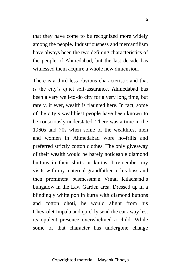that they have come to be recognized more widely among the people. Industriousness and mercantilism have always been the two defining characteristics of the people of Ahmedabad, but the last decade has witnessed them acquire a whole new dimension.

There is a third less obvious characteristic and that is the city's quiet self-assurance. Ahmedabad has been a very well-to-do city for a very long time, but rarely, if ever, wealth is flaunted here. In fact, some of the city's wealthiest people have been known to be consciously understated. There was a time in the 1960s and 70s when some of the wealthiest men and women in Ahmedabad wore no-frills and preferred strictly cotton clothes. The only giveaway of their wealth would be barely noticeable diamond buttons in their shirts or kurtas. I remember my visits with my maternal grandfather to his boss and then prominent businessman Vimal Kilachand's bungalow in the Law Garden area. Dressed up in a blindingly white poplin kurta with diamond buttons and cotton dhoti, he would alight from his Chevrolet Impala and quickly send the car away lest its opulent presence overwhelmed a child. While some of that character has undergone change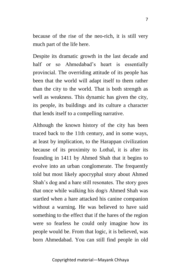because of the rise of the neo-rich, it is still very much part of the life here.

Despite its dramatic growth in the last decade and half or so Ahmedabad's heart is essentially provincial. The overriding attitude of its people has been that the world will adapt itself to them rather than the city to the world. That is both strength as well as weakness. This dynamic has given the city, its people, its buildings and its culture a character that lends itself to a compelling narrative.

Although the known history of the city has been traced back to the 11th century, and in some ways, at least by implication, to the Harappan civilization because of its proximity to Lothal, it is after its founding in 1411 by Ahmed Shah that it begins to evolve into an urban conglomerate. The frequently told but most likely apocryphal story about Ahmed Shah's dog and a hare still resonates. The story goes that once while walking his dog/s Ahmed Shah was startled when a hare attacked his canine companion without a warning. He was believed to have said something to the effect that if the hares of the region were so fearless he could only imagine how its people would be. From that logic, it is believed, was born Ahmedabad. You can still find people in old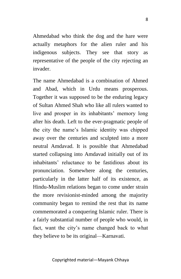Ahmedabad who think the dog and the hare were actually metaphors for the alien ruler and his indigenous subjects. They see that story as representative of the people of the city rejecting an invader.

The name Ahmedabad is a combination of Ahmed and Abad, which in Urdu means prosperous. Together it was supposed to be the enduring legacy of Sultan Ahmed Shah who like all rulers wanted to live and prosper in its inhabitants' memory long after his death. Left to the ever-pragmatic people of the city the name's Islamic identity was chipped away over the centuries and sculpted into a more neutral Amdavad. It is possible that Ahmedabad started collapsing into Amdavad initially out of its inhabitants' reluctance to be fastidious about its pronunciation. Somewhere along the centuries, particularly in the latter half of its existence, as Hindu-Muslim relations began to come under strain the more revisionist-minded among the majority community began to remind the rest that its name commemorated a conquering Islamic ruler. There is a fairly substantial number of people who would, in fact, want the city's name changed back to what they believe to be its original—Karnavati.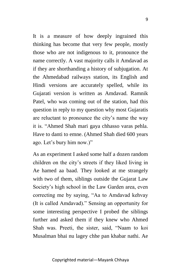It is a measure of how deeply ingrained this thinking has become that very few people, mostly those who are not indigenous to it, pronounce the name correctly. A vast majority calls it Amdavad as if they are shorthanding a history of subjugation. At the Ahmedabad railways station, its English and Hindi versions are accurately spelled, while its Gujarati version is written as Amdavad. Ramnik Patel, who was coming out of the station, had this question in reply to my question why most Gujaratis are reluctant to pronounce the city's name the way it is. "Ahmed Shah mari gaya chhasso varas pehla. Have to danti to emne. (Ahmed Shah died 600 years ago. Let's bury him now.)"

As an experiment I asked some half a dozen random children on the city's streets if they liked living in Ae hamed aa baad. They looked at me strangely with two of them, siblings outside the Gujarat Law Society's high school in the Law Garden area, even correcting me by saying, "Aa to Amdavad kehvay (It is called Amdavad)." Sensing an opportunity for some interesting perspective I probed the siblings further and asked them if they knew who Ahmed Shah was. Preeti, the sister, said, "Naam to koi Musalman bhai nu lagey chhe pan khabar nathi. Ae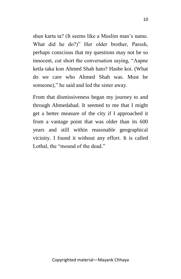shun karta ta? (It seems like a Muslim man's name. What did he do?)" Her older brother, Paresh, perhaps conscious that my questions may not be so innocent, cut short the conversation saying, "Aapne ketla taka kon Ahmed Shah hato? Hashe koi. (What do we care who Ahmed Shah was. Must be someone)," he said and led the sister away.

From that dismissiveness began my journey to and through Ahmedabad. It seemed to me that I might get a better measure of the city if I approached it from a vantage point that was older than its 600 years and still within reasonable geographical vicinity. I found it without any effort. It is called Lothal, the "mound of the dead."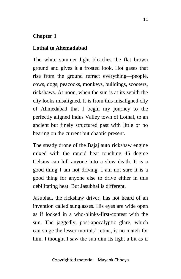## **Chapter 1**

## **Lothal to Ahemadabad**

The white summer light bleaches the flat brown ground and gives it a frosted look. Hot gases that rise from the ground refract everything—people, cows, dogs, peacocks, monkeys, buildings, scooters, rickshaws. At noon, when the sun is at its zenith the city looks misaligned. It is from this misaligned city of Ahmedabad that I begin my journey to the perfectly aligned Indus Valley town of Lothal, to an ancient but finely structured past with little or no bearing on the current but chaotic present.

The steady drone of the Bajaj auto rickshaw engine mixed with the rancid heat touching 45 degree Celsius can lull anyone into a slow death. It is a good thing I am not driving. I am not sure it is a good thing for anyone else to drive either in this debilitating heat. But Jasubhai is different.

Jasubhai, the rickshaw driver, has not heard of an invention called sunglasses. His eyes are wide open as if locked in a who-blinks-first-contest with the sun. The jaggedly, post-apocalyptic glare, which can singe the lesser mortals' retina, is no match for him. I thought I saw the sun dim its light a bit as if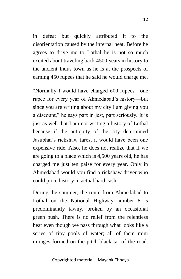in defeat but quickly attributed it to the disorientation caused by the infernal heat. Before he agrees to drive me to Lothal he is not so much excited about traveling back 4500 years in history to the ancient Indus town as he is at the prospects of earning 450 rupees that he said he would charge me.

"Normally I would have charged 600 rupees—one rupee for every year of Ahmedabad's history—but since you are writing about my city I am giving you a discount," he says part in jest, part seriously. It is just as well that I am not writing a history of Lothal because if the antiquity of the city determined Jasubhai's rickshaw fares, it would have been one expensive ride. Also, he does not realize that if we are going to a place which is 4,500 years old, he has charged me just ten paise for every year. Only in Ahmedabad would you find a rickshaw driver who could price history in actual hard cash.

During the summer, the route from Ahmedabad to Lothal on the National Highway number 8 is predominantly tawny, broken by an occasional green bush. There is no relief from the relentless heat even though we pass through what looks like a series of tiny pools of water; all of them mini mirages formed on the pitch-black tar of the road.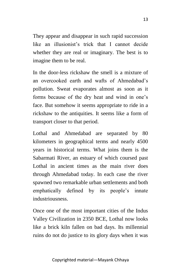They appear and disappear in such rapid succession like an illusionist's trick that I cannot decide whether they are real or imaginary. The best is to imagine them to be real.

In the door-less rickshaw the smell is a mixture of an overcooked earth and wafts of Ahmedabad's pollution. Sweat evaporates almost as soon as it forms because of the dry heat and wind in one's face. But somehow it seems appropriate to ride in a rickshaw to the antiquities. It seems like a form of transport closer to that period.

Lothal and Ahmedabad are separated by 80 kilometers in geographical terms and nearly 4500 years in historical terms. What joins them is the Sabarmati River, an estuary of which coursed past Lothal in ancient times as the main river does through Ahmedabad today. In each case the river spawned two remarkable urban settlements and both emphatically defined by its people's innate industriousness.

Once one of the most important cities of the Indus Valley Civilization in 2350 BCE, Lothal now looks like a brick kiln fallen on bad days. Its millennial ruins do not do justice to its glory days when it was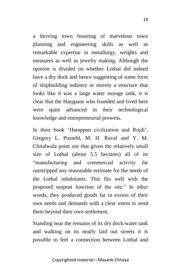a thriving town boasting of marvelous town planning and engineering skills as well as remarkable expertise in metallurgy, weights and measures as well as jewelry making. Although the opinion is divided on whether Lothal did indeed have a dry dock and hence suggesting of some form of shipbuilding industry or merely a structure that looks like it was a large water storage tank, it is clear that the Harppans who founded and lived here were quite advanced in their technological knowledge and entrepreneurial prowess.

In their book 'Harappan civilization and Rojdi', Gregory L. Possehl, M. H. Raval and Y. M. Chitalwala point out that given the relatively small size of Lothal (about 5.5 hectares) all of its "manufacturing and commercial activity far outstripped any reasonable estimate for the needs of the Lothal inhabitants. This fits well with the proposed outpost function of the site." In other words, they produced goods far in excess of their own needs and demands with a clear intent to send them beyond their own settlement.

Standing near the remains of its dry dock/water tank and walking on its neatly laid out streets it is possible to feel a connection between Lothal and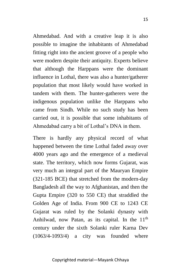Ahmedabad. And with a creative leap it is also possible to imagine the inhabitants of Ahmedabad fitting right into the ancient groove of a people who were modern despite their antiquity. Experts believe that although the Harppans were the dominant influence in Lothal, there was also a hunter/gatherer population that most likely would have worked in tandem with them. The hunter-gatherers were the indigenous population unlike the Harppans who came from Sindh. While no such study has been carried out, it is possible that some inhabitants of Ahmedabad carry a bit of Lothal's DNA in them.

There is hardly any physical record of what happened between the time Lothal faded away over 4000 years ago and the emergence of a medieval state. The territory, which now forms Gujarat, was very much an integral part of the Mauryan Empire (321-185 BCE) that stretched from the modern-day Bangladesh all the way to Afghanistan, and then the Gupta Empire (320 to 550 CE) that straddled the Golden Age of India. From 900 CE to 1243 CE Gujarat was ruled by the Solanki dynasty with Anhilwad, now Patan, as its capital. In the  $11<sup>th</sup>$ century under the sixth Solanki ruler Karna Dev (1063/4-1093/4) a city was founded where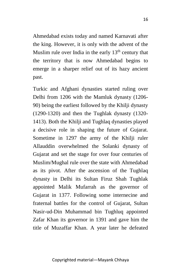Ahmedabad exists today and named Karnavati after the king. However, it is only with the advent of the Muslim rule over India in the early  $13<sup>th</sup>$  century that the territory that is now Ahmedabad begins to emerge in a sharper relief out of its hazy ancient past.

Turkic and Afghani dynasties started ruling over Delhi from 1206 with the Mamluk dynasty (1206- 90) being the earliest followed by the Khilji dynasty (1290-1320) and then the Tughlak dynasty (1320- 1413). Both the Khilji and Tughlaq dynasties played a decisive role in shaping the future of Gujarat. Sometime in 1297 the army of the Khilji ruler Allauddin overwhelmed the Solanki dynasty of Gujarat and set the stage for over four centuries of Muslim/Mughal rule over the state with Ahmedabad as its pivot. After the ascension of the Tughlaq dynasty in Delhi its Sultan Firuz Shah Tughlak appointed Malik Mufarrah as the governor of Gujarat in 1377. Following some internecine and fraternal battles for the control of Gujarat, Sultan Nasir-ud-Din Muhammad bin Tughluq appointed Zafar Khan its governor in 1391 and gave him the title of Muzaffar Khan. A year later he defeated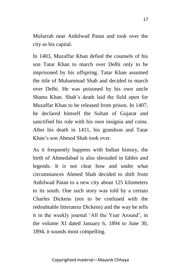Mufarrah near Anhilwad Patan and took over the city as his capital.

In 1403, Muzaffar Khan defied the counsels of his son Tatar Khan to march over Delhi only to be imprisoned by his offspring. Tatar Khan assumed the title of Muhammad Shah and decided to march over Delhi. He was poisoned by his own uncle Shams Khan. Shah's death laid the field open for Muzaffar Khan to be released from prison. In 1407, he declared himself the Sultan of Gujarat and sanctified his rule with his own insignia and coins. After his death in 1411, his grandson and Tatar Khan's son Ahmed Shah took over.

As it frequently happens with Indian history, the birth of Ahmedabad is also shrouded in fables and legends. It is not clear how and under what circumstances Ahmed Shah decided to shift from Anhilwad Patan to a new city about 125 kilometers to its south. One such story was told by a certain Charles Dickens (not to be confused with the redoubtable litterateur Dickens) and the way he tells it in the weekly journal 'All the Year Around', in the volume XI dated January 6, 1894 to June 30, 1894, it sounds most compelling.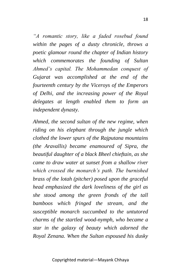*"A romantic story, like a faded rosebud found within the pages of a dusty chronicle, throws a poetic glamour round the chapter of Indian history which commemorates the founding of Sultan Ahmed's capital. The Mohammedan conquest of Gujarat was accomplished at the end of the fourteenth century by the Viceroys of the Emperors of Delhi, and the increasing power of the Royal delegates at length enabled them to form an independent dynasty.*

*Ahmed, the second sultan of the new regime, when riding on his elephant through the jungle which clothed the lower spurs of the Rajputana mountains (the Aravallis) became enamoured of Sipra, the beautiful daughter of a black Bheel chieftain, as she came to draw water at sunset from a shallow river which crossed the monarch's path. The burnished brass of the lotah (pitcher) posed upon the graceful head emphasized the dark loveliness of the girl as she stood among the green fronds of the tall bamboos which fringed the stream, and the susceptible monarch succumbed to the untutored charms of the startled wood-nymph, who became a star in the galaxy of beauty which adorned the Royal Zenana. When the Sultan espoused his dusky*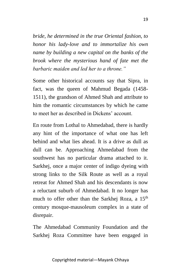*bride, he determined in the true Oriental fashion, to honor his lady-love and to immortalize his own name by building a new capital on the banks of the brook where the mysterious hand of fate met the barbaric maiden and led her to a throne."*

Some other historical accounts say that Sipra, in fact, was the queen of Mahmud Begada (1458- 1511), the grandson of Ahmed Shah and attribute to him the romantic circumstances by which he came to meet her as described in Dickens' account.

En route from Lothal to Ahmedabad, there is hardly any hint of the importance of what one has left behind and what lies ahead. It is a drive as dull as dull can be. Approaching Ahmedabad from the southwest has no particular drama attached to it. Sarkhej, once a major center of indigo dyeing with strong links to the Silk Route as well as a royal retreat for Ahmed Shah and his descendants is now a reluctant suburb of Ahmedabad. It no longer has much to offer other than the Sarkhej Roza, a 15<sup>th</sup> century mosque-mausoleum complex in a state of disrepair.

The Ahmedabad Community Foundation and the Sarkhej Roza Committee have been engaged in

Copyrighted material—Mayank Chhaya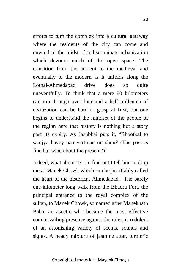efforts to turn the complex into a cultural getaway where the residents of the city can come and unwind in the midst of indiscriminate urbanization which devours much of the open space. The transition from the ancient to the medieval and eventually to the modern as it unfolds along the Lothal-Ahmedabad drive does so quite uneventfully. To think that a mere 80 kilometers can run through over four and a half millennia of civilization can be hard to grasp at first, but one begins to understand the mindset of the people of the region here that history is nothing but a story past its expiry. As Jasubhai puts it, "Bhootkal to samjya havey pan vartman nu shun? (The past is fine but what about the present?)"

Indeed, what about it? To find out I tell him to drop me at Manek Chowk which can be justifiably called the heart of the historical Ahmedabad. The barely one-kilometer long walk from the Bhadra Fort, the principal entrance to the royal complex of the sultan, to Manek Chowk, so named after Maneknath Baba, an ascetic who became the most effective countervailing presence against the ruler, is redolent of an astonishing variety of scents, sounds and sights. A heady mixture of jasmine attar, turmeric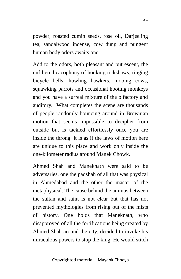powder, roasted cumin seeds, rose oil, Darjeeling tea, sandalwood incense, cow dung and pungent human body odors awaits one.

Add to the odors, both pleasant and putrescent, the unfiltered cacophony of honking rickshaws, ringing bicycle bells, howling hawkers, mooing cows, squawking parrots and occasional hooting monkeys and you have a surreal mixture of the olfactory and auditory. What completes the scene are thousands of people randomly bouncing around in Brownian motion that seems impossible to decipher from outside but is tackled effortlessly once you are inside the throng. It is as if the laws of motion here are unique to this place and work only inside the one-kilometer radius around Manek Chowk.

Ahmed Shah and Maneknath were said to be adversaries, one the padshah of all that was physical in Ahmedabad and the other the master of the metaphysical. The cause behind the animus between the sultan and saint is not clear but that has not prevented mythologies from rising out of the mists of history. One holds that Maneknath, who disapproved of all the fortifications being created by Ahmed Shah around the city, decided to invoke his miraculous powers to stop the king. He would stitch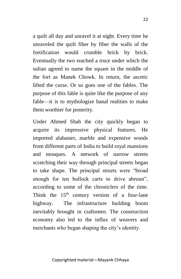a quilt all day and unravel it at night. Every time he unraveled the quilt fiber by fiber the walls of the fortification would crumble brick by brick. Eventually the two reached a truce under which the sultan agreed to name the square in the middle of the fort as Manek Chowk. In return, the ascetic lifted the curse. Or so goes one of the fables. The purpose of this fable is quite like the purpose of any fable—it is to mythologize banal realities to make them worthier for posterity.

Under Ahmed Shah the city quickly began to acquire its impressive physical features. He imported alabaster, marble and expensive woods from different parts of India to build royal mansions and mosques. A network of narrow streets scratching their way through principal streets began to take shape. The principal streets were "broad enough for ten bullock carts to drive abreast", according to some of the chroniclers of the time. Think the  $15<sup>th</sup>$  century version of a four-lane highway. The infrastructure building boom inevitably brought in craftsmen. The construction economy also led to the influx of weavers and merchants who began shaping the city's identity.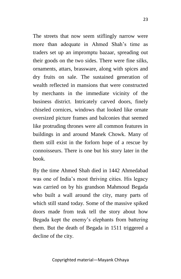The streets that now seem stiflingly narrow were more than adequate in Ahmed Shah's time as traders set up an impromptu bazaar, spreading out their goods on the two sides. There were fine silks, ornaments, attars, brassware, along with spices and dry fruits on sale. The sustained generation of wealth reflected in mansions that were constructed by merchants in the immediate vicinity of the business district. Intricately carved doors, finely chiseled cornices, windows that looked like ornate oversized picture frames and balconies that seemed like protruding thrones were all common features in buildings in and around Manek Chowk. Many of them still exist in the forlorn hope of a rescue by connoisseurs. There is one but his story later in the book.

By the time Ahmed Shah died in 1442 Ahmedabad was one of India's most thriving cities. His legacy was carried on by his grandson Mahmoud Begada who built a wall around the city, many parts of which still stand today. Some of the massive spiked doors made from teak tell the story about how Begada kept the enemy's elephants from battering them. But the death of Begada in 1511 triggered a decline of the city.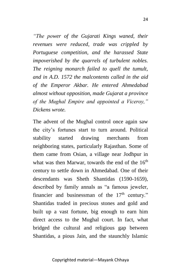*"The power of the Gujarati Kings waned, their revenues were reduced, trade was crippled by Portuguese competition, and the harassed State impoverished by the quarrels of turbulent nobles. The reigning monarch failed to quell the tumult, and in A.D. 1572 the malcontents called in the aid of the Emperor Akbar. He entered Ahmedabad almost without opposition, made Gujarat a province of the Mughal Empire and appointed a Viceroy," Dickens wrote.*

The advent of the Mughal control once again saw the city's fortunes start to turn around. Political stability started drawing merchants from neighboring states, particularly Rajasthan. Some of them came from Osian, a village near Jodhpur in what was then Marwar, towards the end of the  $16<sup>th</sup>$ century to settle down in Ahmedabad. One of their descendants was Sheth Shantidas (1590-1659), described by family annals as "a famous jeweler, financier and businessman of the  $17<sup>th</sup>$  century." Shantidas traded in precious stones and gold and built up a vast fortune, big enough to earn him direct access to the Mughal court. In fact, what bridged the cultural and religious gap between Shantidas, a pious Jain, and the staunchly Islamic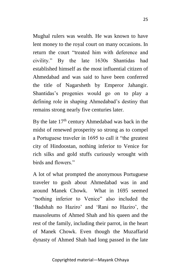Mughal rulers was wealth. He was known to have lent money to the royal court on many occasions. In return the court "treated him with deference and civility." By the late 1630s Shantidas had established himself as the most influential citizen of Ahmedabad and was said to have been conferred the title of Nagarsheth by Emperor Jahangir. Shantidas's progenies would go on to play a defining role in shaping Ahmedabad's destiny that remains strong nearly five centuries later.

By the late  $17<sup>th</sup>$  century Ahmedabad was back in the midst of renewed prosperity so strong as to compel a Portuguese traveler in 1695 to call it "the greatest city of Hindoostan, nothing inferior to Venice for rich silks and gold stuffs curiously wrought with birds and flowers."

A lot of what prompted the anonymous Portuguese traveler to gush about Ahmedabad was in and around Manek Chowk. What in 1695 seemed "nothing inferior to Venice" also included the 'Badshah no Haziro' and 'Rani no Haziro', the mausoleums of Ahmed Shah and his queen and the rest of the family, including their parrot, in the heart of Manek Chowk. Even though the Muzaffarid dynasty of Ahmed Shah had long passed in the late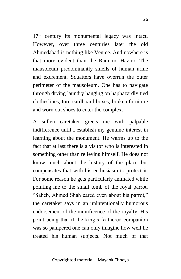17<sup>th</sup> century its monumental legacy was intact. However, over three centuries later the old Ahmedabad is nothing like Venice. And nowhere is that more evident than the Rani no Haziro. The mausoleum predominantly smells of human urine and excrement. Squatters have overrun the outer perimeter of the mausoleum. One has to navigate through drying laundry hanging on haphazardly tied clotheslines, torn cardboard boxes, broken furniture

indifference until I establish my genuine interest in learning about the monument. He warms up to the fact that at last there is a visitor who is interested in something other than relieving himself. He does not know much about the history of the place but compensates that with his enthusiasm to protect it. For some reason he gets particularly animated while pointing me to the small tomb of the royal parrot. "Saheb, Ahmed Shah cared even about his parrot," the caretaker says in an unintentionally humorous endorsement of the munificence of the royalty. His point being that if the king's feathered companion was so pampered one can only imagine how well he treated his human subjects. Not much of that

and worn out shoes to enter the complex. A sullen caretaker greets me with palpable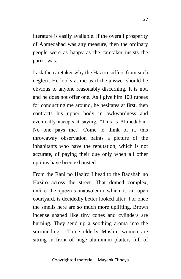literature is easily available. If the overall prosperity of Ahmedabad was any measure, then the ordinary people were as happy as the caretaker insists the parrot was.

I ask the caretaker why the Haziro suffers from such neglect. He looks at me as if the answer should be obvious to anyone reasonably discerning. It is not, and he does not offer one. As I give him 100 rupees for conducting me around, he hesitates at first, then contracts his upper body in awkwardness and eventually accepts it saying, "This is Ahmedabad. No one pays me." Come to think of it, this throwaway observation paints a picture of the inhabitants who have the reputation, which is not accurate, of paying their due only when all other options have been exhausted.

From the Rani no Haziro I head to the Badshah no Haziro across the street. That domed complex, unlike the queen's mausoleum which is an open courtyard, is decidedly better looked after. For once the smells here are so much more uplifting. Brown incense shaped like tiny cones and cylinders are burning. They send up a soothing aroma into the surrounding. Three elderly Muslim women are sitting in front of huge aluminum platters full of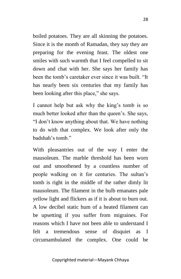boiled potatoes. They are all skinning the potatoes. Since it is the month of Ramadan, they say they are preparing for the evening feast. The oldest one smiles with such warmth that I feel compelled to sit down and chat with her. She says her family has been the tomb's caretaker ever since it was built. "It has nearly been six centuries that my family has been looking after this place," she says.

I cannot help but ask why the king's tomb is so much better looked after than the queen's. She says, "I don't know anything about that. We have nothing to do with that complex. We look after only the badshah's tomb."

With pleasantries out of the way I enter the mausoleum. The marble threshold has been worn out and smoothened by a countless number of people walking on it for centuries. The sultan's tomb is right in the middle of the rather dimly lit mausoleum. The filament in the bulb emanates pale yellow light and flickers as if it is about to burn out. A low decibel static hum of a heated filament can be upsetting if you suffer from migraines. For reasons which I have not been able to understand I felt a tremendous sense of disquiet as I circumambulated the complex. One could be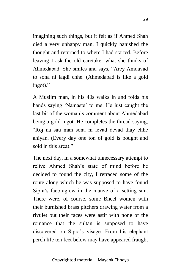imagining such things, but it felt as if Ahmed Shah died a very unhappy man. I quickly banished the thought and returned to where I had started. Before leaving I ask the old caretaker what she thinks of Ahmedabad. She smiles and says, "Arey Amdavad to sona ni lagdi chhe. (Ahmedabad is like a gold ingot)."

A Muslim man, in his 40s walks in and folds his hands saying 'Namaste' to me. He just caught the last bit of the woman's comment about Ahmedabad being a gold ingot. He completes the thread saying, "Roj na sau man sona ni levad devad thay chhe ahiyan. (Every day one ton of gold is bought and sold in this area)."

The next day, in a somewhat unnecessary attempt to relive Ahmed Shah's state of mind before he decided to found the city, I retraced some of the route along which he was supposed to have found Sipra's face aglow in the mauve of a setting sun. There were, of course, some Bheel women with their burnished brass pitchers drawing water from a rivulet but their faces were astir with none of the romance that the sultan is supposed to have discovered on Sipra's visage. From his elephant perch life ten feet below may have appeared fraught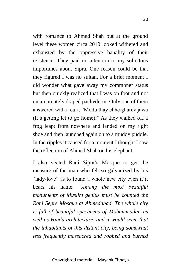with romance to Ahmed Shah but at the ground level these women circa 2010 looked withered and exhausted by the oppressive banality of their existence. They paid no attention to my solicitous importunes about Sipra. One reason could be that they figured I was no sultan. For a brief moment I did wonder what gave away my commoner status but then quickly realized that I was on foot and not on an ornately draped pachyderm. Only one of them answered with a curt, "Modu thay chhe gharey jawa (It's getting let to go home)." As they walked off a frog leapt from nowhere and landed on my right shoe and then launched again on to a muddy puddle. In the ripples it caused for a moment I thought I saw the reflection of Ahmed Shah on his elephant.

I also visited Rani Sipra's Mosque to get the measure of the man who felt so galvanized by his "lady-love" as to found a whole new city even if it bears his name. *"Among the most beautiful monuments of Muslim genius must be counted the Rani Sepre Mosque at Ahmedabad. The whole city is full of beautiful specimens of Mohammadan as well as Hindu architecture, and it would seem that the inhabitants of this distant city, being somewhat less frequently massacred and robbed and burned*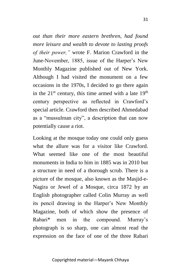*out than their more eastern brethren, had found more leisure and wealth to devote to lasting proofs of their power,"* wrote F. Marion Crawford in the June-November, 1885, issue of the Harper's New Monthly Magazine published out of New York. Although I had visited the monument on a few occasions in the 1970s, I decided to go there again in the  $21<sup>st</sup>$  century, this time armed with a late  $19<sup>th</sup>$ century perspective as reflected in Crawford's special article. Crawford then described Ahmedabad as a "mussulman city", a description that can now potentially cause a riot.

Looking at the mosque today one could only guess what the allure was for a visitor like Crawford. What seemed like one of the most beautiful monuments in India to him in 1885 was in 2010 but a structure in need of a thorough scrub. There is a picture of the mosque, also known as the Masjid-e-Nagira or Jewel of a Mosque, circa 1872 by an English photographer called Colin Murray as well its pencil drawing in the Harper's New Monthly Magazine, both of which show the presence of Rabari\* men in the compound. Murray's photograph is so sharp, one can almost read the expression on the face of one of the three Rabari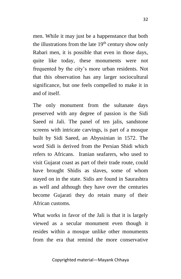men. While it may just be a happenstance that both the illustrations from the late  $19<sup>th</sup>$  century show only Rabari men, it is possible that even in those days, quite like today, these monuments were not frequented by the city's more urban residents. Not that this observation has any larger sociocultural significance, but one feels compelled to make it in and of itself.

The only monument from the sultanate days preserved with any degree of passion is the Sidi Saeed ni Jali. The panel of ten jalis, sandstone screens with intricate carvings, is part of a mosque built by Sidi Saeed, an Abyssinian in 1572. The word Sidi is derived from the Persian Shidi which refers to Africans. Iranian seafarers, who used to visit Gujarat coast as part of their trade route, could have brought Shidis as slaves, some of whom stayed on in the state. Sidis are found in Saurashtra as well and although they have over the centuries become Gujarati they do retain many of their African customs.

What works in favor of the Jali is that it is largely viewed as a secular monument even though it resides within a mosque unlike other monuments from the era that remind the more conservative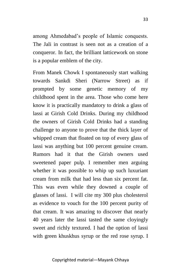among Ahmedabad's people of Islamic conquests. The Jali in contrast is seen not as a creation of a conqueror. In fact, the brilliant latticework on stone is a popular emblem of the city.

From Manek Chowk I spontaneously start walking towards Sankdi Sheri (Narrow Street) as if prompted by some genetic memory of my childhood spent in the area. Those who come here know it is practically mandatory to drink a glass of lassi at Girish Cold Drinks. During my childhood the owners of Girish Cold Drinks had a standing challenge to anyone to prove that the thick layer of whipped cream that floated on top of every glass of lassi was anything but 100 percent genuine cream. Rumors had it that the Girish owners used sweetened paper pulp. I remember men arguing whether it was possible to whip up such luxuriant cream from milk that had less than six percent fat. This was even while they downed a couple of glasses of lassi. I will cite my 300 plus cholesterol as evidence to vouch for the 100 percent purity of that cream. It was amazing to discover that nearly 40 years later the lassi tasted the same cloyingly sweet and richly textured. I had the option of lassi with green khuskhus syrup or the red rose syrup. I